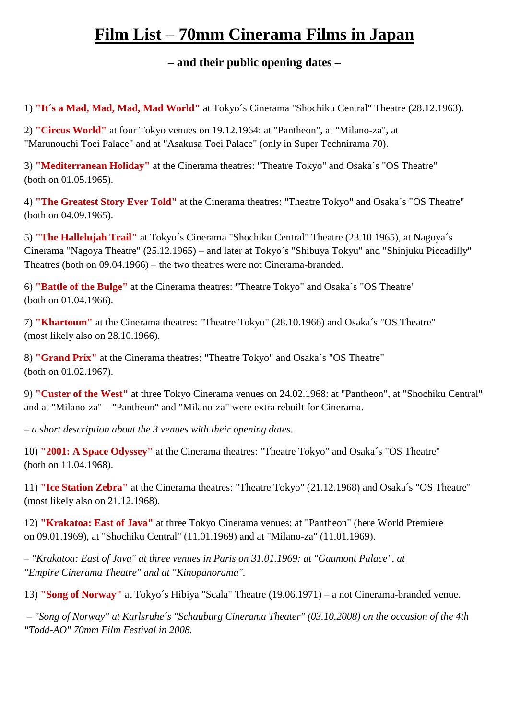## **Film List – 70mm Cinerama Films in Japan**

## **– and their public opening dates –**

1) **"It´s a Mad, Mad, Mad, Mad World"** at Tokyo´s Cinerama "Shochiku Central" Theatre (28.12.1963).

2) **"Circus World"** at four Tokyo venues on 19.12.1964: at "Pantheon", at "Milano-za", at "Marunouchi Toei Palace" and at "Asakusa Toei Palace" (only in Super Technirama 70).

3) **"Mediterranean Holiday"** at the Cinerama theatres: "Theatre Tokyo" and Osaka´s "OS Theatre" (both on 01.05.1965).

4) **"The Greatest Story Ever Told"** at the Cinerama theatres: "Theatre Tokyo" and Osaka´s "OS Theatre" (both on 04.09.1965).

5) **"The Hallelujah Trail"** at Tokyo´s Cinerama "Shochiku Central" Theatre (23.10.1965), at Nagoya´s Cinerama "Nagoya Theatre" (25.12.1965) – and later at Tokyo´s "Shibuya Tokyu" and "Shinjuku Piccadilly" Theatres (both on 09.04.1966) – the two theatres were not Cinerama-branded.

6) **"Battle of the Bulge"** at the Cinerama theatres: "Theatre Tokyo" and Osaka´s "OS Theatre" (both on 01.04.1966).

7) **"Khartoum"** at the Cinerama theatres: "Theatre Tokyo" (28.10.1966) and Osaka´s "OS Theatre" (most likely also on 28.10.1966).

8) **"Grand Prix"** at the Cinerama theatres: "Theatre Tokyo" and Osaka´s "OS Theatre" (both on 01.02.1967).

9) **"Custer of the West"** at three Tokyo Cinerama venues on 24.02.1968: at "Pantheon", at "Shochiku Central" and at "Milano-za" – "Pantheon" and "Milano-za" were extra rebuilt for Cinerama.

*– a short description about the 3 venues with their opening dates.*

10) **"2001: A Space Odyssey"** at the Cinerama theatres: "Theatre Tokyo" and Osaka´s "OS Theatre" (both on 11.04.1968).

11) **"Ice Station Zebra"** at the Cinerama theatres: "Theatre Tokyo" (21.12.1968) and Osaka´s "OS Theatre" (most likely also on 21.12.1968).

12) **"Krakatoa: East of Java"** at three Tokyo Cinerama venues: at "Pantheon" (here World Premiere on 09.01.1969), at "Shochiku Central" (11.01.1969) and at "Milano-za" (11.01.1969).

*– "Krakatoa: East of Java" at three venues in Paris on 31.01.1969: at "Gaumont Palace", at "Empire Cinerama Theatre" and at "Kinopanorama".*

13) **"Song of Norway"** at Tokyo´s Hibiya "Scala" Theatre (19.06.1971) – a not Cinerama-branded venue.

*– "Song of Norway" at Karlsruhe´s "Schauburg Cinerama Theater" (03.10.2008) on the occasion of the 4th "Todd-AO" 70mm Film Festival in 2008.*